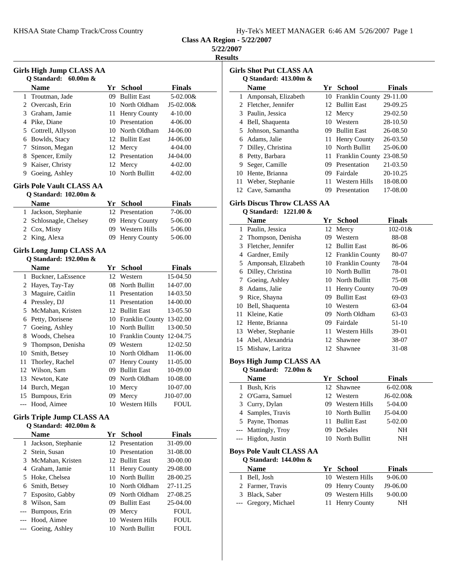|  |  |  |  | Hy-Tek's MEET MANAGER 6:46 AM 5/26/2007 Page 1 |  |  |  |
|--|--|--|--|------------------------------------------------|--|--|--|
|--|--|--|--|------------------------------------------------|--|--|--|

**Class AA Region - 5/22/2007**

**5/22/2007**

**Results**

|                |                                   |     |                             |               | $\mathbf{F}$ |
|----------------|-----------------------------------|-----|-----------------------------|---------------|--------------|
|                | Girls High Jump CLASS AA          |     |                             |               |              |
|                | Q Standard: 60.00m &              |     |                             |               |              |
|                | <b>Name</b>                       |     | Yr School                   | <b>Finals</b> |              |
| 1              | Troutman, Jade                    | 09  | <b>Bullitt East</b>         | 5-02.00&      |              |
|                | 2 Overcash, Erin                  |     | 10 North Oldham             | J5-02.00&     |              |
|                | 3 Graham, Jamie                   | 11- | Henry County                | 4-10.00       |              |
|                | 4 Pike, Diane                     |     | 10 Presentation             | 4-06.00       |              |
|                | 5 Cottrell, Allyson               |     | 10 North Oldham             | J4-06.00      |              |
|                | 6 Bowlds, Stacy                   |     | 12 Bullitt East             | J4-06.00      |              |
| 7              | Stinson, Megan                    |     | 12 Mercy                    | 4-04.00       |              |
|                | 8 Spencer, Emily                  |     | 12 Presentation             | J4-04.00      |              |
|                | 9 Kaiser, Christy                 |     | 12 Mercy                    | 4-02.00       |              |
|                | 9 Goeing, Ashley                  |     | 10 North Bullitt            | 4-02.00       |              |
|                | <b>Girls Pole Vault CLASS AA</b>  |     |                             |               |              |
|                | Q Standard: 102.00m &             |     |                             |               |              |
|                | <b>Name</b>                       |     | Yr School                   | Finals        |              |
| 1              | Jackson, Stephanie                |     | 12 Presentation             | 7-06.00       |              |
| 2              | Schlosnagle, Chelsey              | 09- | Henry County                | 5-06.00       |              |
|                | 2 Cox, Misty                      | 09  | Western Hills               | 5-06.00       |              |
|                | 2 King, Alexa                     | 09  | Henry County                | 5-06.00       |              |
|                | <b>Girls Long Jump CLASS AA</b>   |     |                             |               |              |
|                | Q Standard: 192.00m &             |     |                             |               |              |
|                | <b>Name</b>                       |     | Yr School                   | Finals        |              |
|                | 1 Buckner, LaEssence              | 12  | Western                     | 15-04.50      |              |
|                | 2 Hayes, Tay-Tay                  |     | 08 North Bullitt            | 14-07.00      |              |
|                | 3 Maguire, Caitlin                |     | 11 Presentation             | 14-03.50      |              |
|                | 4 Pressley, DJ                    |     | 11 Presentation             | 14-00.00      |              |
| 5              | McMahan, Kristen                  |     | 12 Bullitt East             | 13-05.50      |              |
|                | 6 Petty, Dorisene                 |     | 10 Franklin County          | 13-02.00      |              |
| 7              | Goeing, Ashley                    |     | 10 North Bullitt            | 13-00.50      |              |
| 8              | Woods, Chelsea                    |     | 10 Franklin County 12-04.75 |               |              |
|                | 9 Thompson, Denisha               |     | 09 Western                  | 12-02.50      |              |
| 10             | Smith, Betsey                     |     | 10 North Oldham             | 11-06.00      |              |
| 11             | Thorley, Rachel                   |     | 07 Henry County             | 11-05.00      |              |
|                | 12 Wilson, Sam                    |     | 09 Bullitt East             | 10-09.00      |              |
| 13             | Newton, Kate                      |     | 09 North Oldham             | 10-08.00      |              |
|                | 14 Burch, Megan                   |     | 10 Mercy                    | 10-07.00      |              |
|                | 15 Bumpous, Erin                  |     | 09 Mercy                    | J10-07.00     |              |
| ---            | Hood, Aimee                       | 10  | <b>Western Hills</b>        | <b>FOUL</b>   |              |
|                | <b>Girls Triple Jump CLASS AA</b> |     |                             |               |              |
|                | Q Standard: 402.00m &             |     |                             |               |              |
|                | <b>Name</b>                       | Yr  | <b>School</b>               | <b>Finals</b> |              |
| 1              | Jackson, Stephanie                | 12  | Presentation                | 31-09.00      |              |
| $\overline{2}$ | Stein, Susan                      |     | 10 Presentation             | 31-08.00      |              |
|                | 3 McMahan, Kristen                | 12  | <b>Bullitt East</b>         | 30-00.00      |              |
|                | 4 Graham, Jamie                   | 11  | Henry County                | 29-08.00      |              |
|                | 5 Hoke, Chelsea                   |     | 10 North Bullitt            | 28-00.25      |              |
|                | 6 Smith, Betsey                   |     | 10 North Oldham             | 27-11.25      |              |
| 7              | Esposito, Gabby                   |     | 09 North Oldham             | 27-08.25      |              |
|                | 8 Wilson, Sam                     |     | 09 Bullitt East             | 25-04.00      |              |

--- Bumpous, Erin 09 Mercy FOUL<br>--- Hood, Aimee 10 Western Hills FOUL

--- Goeing, Ashley 10 North Bullitt FOUL

10 Western Hills FOUL

|    | <b>Girls Shot Put CLASS AA</b> |              |                     |               |  |  |  |  |
|----|--------------------------------|--------------|---------------------|---------------|--|--|--|--|
|    | Q Standard: $413.00m \&$       |              |                     |               |  |  |  |  |
|    | <b>Name</b>                    | Yr           | School              | <b>Finals</b> |  |  |  |  |
| 1  | Amponsah, Elizabeth            |              | 10 Franklin County  | 29-11.00      |  |  |  |  |
|    | 2 Fletcher, Jennifer           |              | 12 Bullitt East     | 29-09.25      |  |  |  |  |
| 3  | Paulin, Jessica                |              | 12 Mercy            | 29-02.50      |  |  |  |  |
| 4  | Bell, Shaquenta                | $10^{\circ}$ | Western             | 28-10.50      |  |  |  |  |
|    | 5 Johnson, Samantha            | 09.          | <b>Bullitt East</b> | 26-08.50      |  |  |  |  |
| 6  | Adams, Jalie                   |              | 11 Henry County     | 26-03.50      |  |  |  |  |
|    | Dilley, Christina              |              | 10 North Bullitt    | 25-06.00      |  |  |  |  |
| 8  | Petty, Barbara                 |              | 11 Franklin County  | 23-08.50      |  |  |  |  |
| 9  | Seger, Camille                 | 09           | Presentation        | 21-03.50      |  |  |  |  |
| 10 | Hente, Brianna                 | 09           | Fairdale            | 20-10.25      |  |  |  |  |
| 11 | Weber, Stephanie               | 11           | Western Hills       | 18-08.00      |  |  |  |  |
|    | 12 Cave, Samantha              | 09           | Presentation        | 17-08.00      |  |  |  |  |

# **Girls Discus Throw CLASS AA**

**Q Standard: 1221.00 &**

|    | <b>Name</b>           | Yr  | <b>School</b>       | <b>Finals</b> |
|----|-----------------------|-----|---------------------|---------------|
| 1  | Paulin, Jessica       |     | 12 Mercy            | $102 - 01$ &  |
|    | 2 Thompson, Denisha   | 09  | Western             | 88-08         |
| 3  | Fletcher, Jennifer    | 12  | <b>Bullitt East</b> | 86-06         |
| 4  | Gardner, Emily        |     | 12 Franklin County  | 80-07         |
|    | 5 Amponsah, Elizabeth |     | 10 Franklin County  | 78-04         |
| 6  | Dilley, Christina     |     | 10 North Bullitt    | 78-01         |
| 7  | Goeing, Ashley        |     | 10 North Bullitt    | 75-08         |
| 8  | Adams, Jalie          |     | 11 Henry County     | 70-09         |
| 9  | Rice, Shayna          | 09. | <b>Bullitt East</b> | 69-03         |
| 10 | Bell, Shaquenta       |     | 10 Western          | 63-04         |
| 11 | Kleine, Katie         | 09  | North Oldham        | 63-03         |
|    | 12 Hente, Brianna     | 09  | Fairdale            | 51-10         |
|    | 13 Weber, Stephanie   |     | 11 Western Hills    | 39-01         |
| 14 | Abel, Alexandria      | 12  | Shawnee             | 38-07         |
|    | 15 Mishaw, Laritza    | 12. | Shawnee             | 31-08         |

### **Boys High Jump CLASS AA**

**Q Standard: 72.00m &**

j.

 $\overline{\phantom{a}}$ 

| <b>Name</b>         |      | Yr School        | <b>Finals</b> |
|---------------------|------|------------------|---------------|
| Bush, Kris<br>1     |      | 12 Shawnee       | $6 - 02.00 &$ |
| 2 O'Garra, Samuel   |      | 12 Western       | $J6-02.00&$   |
| 3 Curry, Dylan      |      | 09 Western Hills | 5-04.00       |
| 4 Samples, Travis   |      | 10 North Bullitt | $J5-04.00$    |
| 5 Payne, Thomas     |      | 11 Bullitt East  | 5-02.00       |
| --- Mattingly, Troy | (99) | DeSales          | NH            |
| --- Higdon, Justin  |      | 10 North Bullitt | NH            |
|                     |      |                  |               |

#### **Boys Pole Vault CLASS AA Q Standard: 144.00m &**

| $\sigma$ Standard: 144.00111 $\alpha$ |                  |               |  |
|---------------------------------------|------------------|---------------|--|
| <b>Name</b>                           | Yr School        | <b>Finals</b> |  |
| 1 Bell, Josh                          | 10 Western Hills | 9-06.00       |  |
| 2 Farmer, Travis                      | 09 Henry County  | J9-06.00      |  |
| 3 Black, Saber                        | 09 Western Hills | $9 - 00.00$   |  |
| --- Gregory, Michael                  | 11 Henry County  | NH            |  |